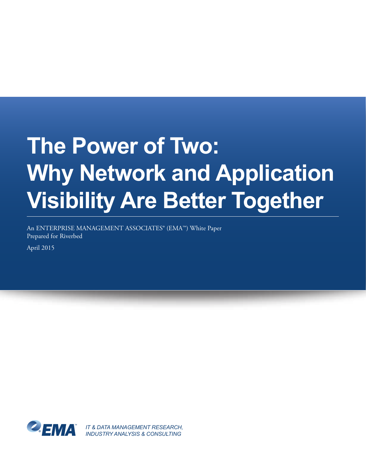# **The Power of Two: Why Network and Application Visibility Are Better Together**

An ENTERPRISE MANAGEMENT ASSOCIATES® (EMA™) White Paper Prepared for Riverbed

April 2015



*IT & DATA MANAGEMENT RESEARCH, INDUSTRY ANALYSIS & CONSULTING*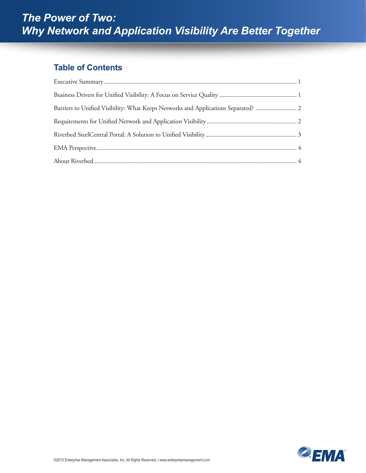#### **Table of Contents**

| Barriers to Unified Visibility: What Keeps Networks and Applications Separated?  2 |  |
|------------------------------------------------------------------------------------|--|
|                                                                                    |  |
|                                                                                    |  |
|                                                                                    |  |
|                                                                                    |  |

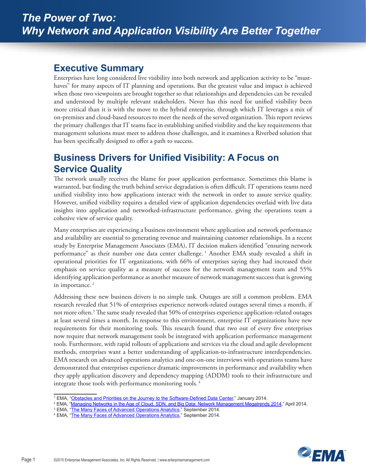#### <span id="page-2-0"></span>**Executive Summary**

Enterprises have long considered live visibility into both network and application activity to be "musthaves" for many aspects of IT planning and operations. But the greatest value and impact is achieved when those two viewpoints are brought together so that relationships and dependencies can be revealed and understood by multiple relevant stakeholders. Never has this need for unified visibility been more critical than it is with the move to the hybrid enterprise, through which IT leverages a mix of on-premises and cloud-based resources to meet the needs of the served organization. This report reviews the primary challenges that IT teams face in establishing unified visibility and the key requirements that management solutions must meet to address those challenges, and it examines a Riverbed solution that has been specifically designed to offer a path to success.

# **Business Drivers for Unified Visibility: A Focus on Service Quality**

The network usually receives the blame for poor application performance. Sometimes this blame is warranted, but finding the truth behind service degradation is often difficult. IT operations teams need unified visibility into how applications interact with the network in order to assure service quality. However, unified visibility requires a detailed view of application dependencies overlaid with live data insights into application and networked-infrastructure performance, giving the operations team a cohesive view of service quality.

Many enterprises are experiencing a business environment where application and network performance and availability are essential to generating revenue and maintaining customer relationships. In a recent study by Enterprise Management Associates (EMA), IT decision makers identified "ensuring network performance" as their number one data center challenge. <sup>1</sup> Another EMA study revealed a shift in operational priorities for IT organizations, with 66% of enterprises saying they had increased their emphasis on service quality as a measure of success for the network management team and 55% identifying application performance as another measure of network management success that is growing in importance.<sup>2</sup>

Addressing these new business drivers is no simple task. Outages are still a common problem. EMA research revealed that 51% of enterprises experience network-related outages several times a month, if not more often.<sup>3</sup> The same study revealed that 50% of enterprises experience application-related outages at least several times a month. In response to this environment, enterprise IT organizations have new requirements for their monitoring tools. This research found that two out of every five enterprises now require that network management tools be integrated with application performance management tools. Furthermore, with rapid rollouts of applications and services via the cloud and agile development methods, enterprises want a better understanding of application-to-infrastructure interdependencies. EMA research on advanced operations analytics and one-on-one interviews with operations teams have demonstrated that enterprises experience dramatic improvements in performance and availability when they apply application discovery and dependency mapping (ADDM) tools to their infrastructure and integrate those tools with performance monitoring tools. <sup>4</sup>



<sup>&</sup>lt;sup>1</sup> EMA, "Obstacles and Priorities on the Journey to the Software-Defined Data Center," January 2014.

<sup>&</sup>lt;sup>1</sup> EMA, "<u>Obstacles and Priorities on the Journey to the Software-Defined Data Center," January 2014.<br><sup>2</sup> EMA, "<u>[Managing Networks in the Age of Cloud, SDN, and Big Data: Network Management Megatrends 2014](http://www.enterprisemanagement.com/research/asset.php/2749/Managing-Networks-in-the--Age-of-Cloud,-SDN,-and--Big-Data:-Network-Management-Megatrends-2014)," April 2014.<br><sup></u></u></sup>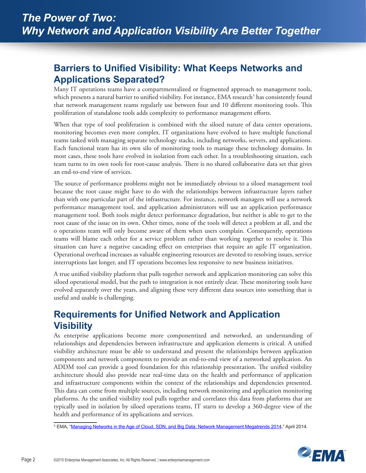## <span id="page-3-0"></span>**Barriers to Unified Visibility: What Keeps Networks and Applications Separated?**

Many IT operations teams have a compartmentalized or fragmented approach to management tools, which presents a natural barrier to unified visibility. For instance, EMA research<sup>5</sup> has consistently found that network management teams regularly use between four and 10 different monitoring tools. This proliferation of standalone tools adds complexity to performance management efforts.

When that type of tool proliferation is combined with the siloed nature of data center operations, monitoring becomes even more complex. IT organizations have evolved to have multiple functional teams tasked with managing separate technology stacks, including networks, servers, and applications. Each functional team has its own silo of monitoring tools to manage these technology domains. In most cases, these tools have evolved in isolation from each other. In a troubleshooting situation, each team turns to its own tools for root-cause analysis. There is no shared collaborative data set that gives an end-to-end view of services.

The source of performance problems might not be immediately obvious to a siloed management tool because the root cause might have to do with the relationships between infrastructure layers rather than with one particular part of the infrastructure. For instance, network managers will use a network performance management tool, and application administrators will use an application performance management tool. Both tools might detect performance degradation, but neither is able to get to the root cause of the issue on its own. Other times, none of the tools will detect a problem at all, and the o operations team will only become aware of them when users complain. Consequently, operations teams will blame each other for a service problem rather than working together to resolve it. This situation can have a negative cascading effect on enterprises that require an agile IT organization. Operational overhead increases as valuable engineering resources are devoted to resolving issues, service interruptions last longer, and IT operations becomes less responsive to new business initiatives.

A true unified visibility platform that pulls together network and application monitoring can solve this siloed operational model, but the path to integration is not entirely clear. These monitoring tools have evolved separately over the years, and aligning these very different data sources into something that is useful and usable is challenging.

# **Requirements for Unified Network and Application Visibility**

As enterprise applications become more componentized and networked, an understanding of relationships and dependencies between infrastructure and application elements is critical. A unified visibility architecture must be able to understand and present the relationships between application components and network components to provide an end-to-end view of a networked application. An ADDM tool can provide a good foundation for this relationship presentation. The unified visibility architecture should also provide near real-time data on the health and performance of application and infrastructure components within the context of the relationships and dependencies presented. This data can come from multiple sources, including network monitoring and application monitoring platforms. As the unified visibility tool pulls together and correlates this data from platforms that are typically used in isolation by siloed operations teams, IT starts to develop a 360-degree view of the health and performance of its applications and services.

<sup>5</sup> EMA, "<u>[Managing Networks in the Age of Cloud, SDN, and Big Data: Network Management Megatrends 2014](http://www.enterprisemanagement.com/research/asset.php/2749/Managing-Networks-in-the--Age-of-Cloud,-SDN,-and--Big-Data:-Network-Management-Megatrends-2014)," April 2014.</u>

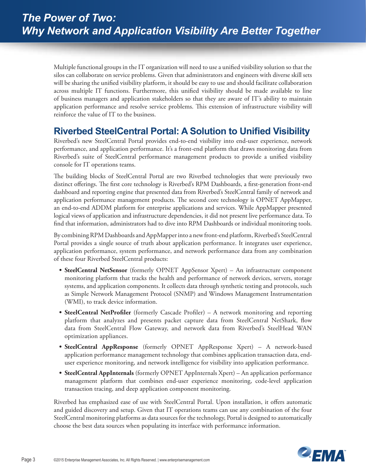<span id="page-4-0"></span>Multiple functional groups in the IT organization will need to use a unified visibility solution so that the silos can collaborate on service problems. Given that administrators and engineers with diverse skill sets will be sharing the unified visibility platform, it should be easy to use and should facilitate collaboration across multiple IT functions. Furthermore, this unified visibility should be made available to line of business managers and application stakeholders so that they are aware of IT's ability to maintain application performance and resolve service problems. This extension of infrastructure visibility will reinforce the value of IT to the business.

## **Riverbed SteelCentral Portal: A Solution to Unified Visibility**

Riverbed's new SteelCentral Portal provides end-to-end visibility into end-user experience, network performance, and application performance. It's a front-end platform that draws monitoring data from Riverbed's suite of SteelCentral performance management products to provide a unified visibility console for IT operations teams.

The building blocks of SteelCentral Portal are two Riverbed technologies that were previously two distinct offerings. The first core technology is Riverbed's RPM Dashboards, a first-generation front-end dashboard and reporting engine that presented data from Riverbed's SteelCentral family of network and application performance management products. The second core technology is OPNET AppMapper, an end-to-end ADDM platform for enterprise applications and services. While AppMapper presented logical views of application and infrastructure dependencies, it did not present live performance data. To find that information, administrators had to dive into RPM Dashboards or individual monitoring tools.

By combining RPM Dashboards and AppMapper into a new front-end platform, Riverbed's SteelCentral Portal provides a single source of truth about application performance. It integrates user experience, application performance, system performance, and network performance data from any combination of these four Riverbed SteelCentral products:

- **• SteelCentral NetSensor** (formerly OPNET AppSensor Xpert) An infrastructure component monitoring platform that tracks the health and performance of network devices, servers, storage systems, and application components. It collects data through synthetic testing and protocols, such as Simple Network Management Protocol (SNMP) and Windows Management Instrumentation (WMI), to track device information.
- **• SteelCentral NetProfiler** (formerly Cascade Profiler) A network monitoring and reporting platform that analyzes and presents packet capture data from SteelCentral NetShark, flow data from SteelCentral Flow Gateway, and network data from Riverbed's SteelHead WAN optimization appliances.
- **• SteelCentral AppResponse** (formerly OPNET AppResponse Xpert) A network-based application performance management technology that combines application transaction data, enduser experience monitoring, and network intelligence for visibility into application performance.
- **• SteelCentral AppInternals** (formerly OPNET AppInternals Xpert) An application performance management platform that combines end-user experience monitoring, code-level application transaction tracing, and deep application component monitoring.

Riverbed has emphasized ease of use with SteelCentral Portal. Upon installation, it offers automatic and guided discovery and setup. Given that IT operations teams can use any combination of the four SteelCentral monitoring platforms as data sources for the technology, Portal is designed to automatically choose the best data sources when populating its interface with performance information.

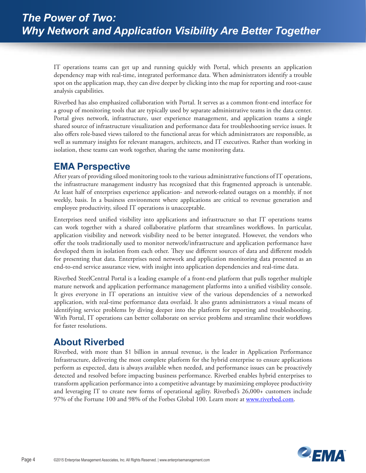<span id="page-5-0"></span>IT operations teams can get up and running quickly with Portal, which presents an application dependency map with real-time, integrated performance data. When administrators identify a trouble spot on the application map, they can dive deeper by clicking into the map for reporting and root-cause analysis capabilities.

Riverbed has also emphasized collaboration with Portal. It serves as a common front-end interface for a group of monitoring tools that are typically used by separate administrative teams in the data center. Portal gives network, infrastructure, user experience management, and application teams a single shared source of infrastructure visualization and performance data for troubleshooting service issues. It also offers role-based views tailored to the functional areas for which administrators are responsible, as well as summary insights for relevant managers, architects, and IT executives. Rather than working in isolation, these teams can work together, sharing the same monitoring data.

## **EMA Perspective**

After years of providing siloed monitoring tools to the various administrative functions of IT operations, the infrastructure management industry has recognized that this fragmented approach is untenable. At least half of enterprises experience application- and network-related outages on a monthly, if not weekly, basis. In a business environment where applications are critical to revenue generation and employee productivity, siloed IT operations is unacceptable.

Enterprises need unified visibility into applications and infrastructure so that IT operations teams can work together with a shared collaborative platform that streamlines workflows. In particular, application visibility and network visibility need to be better integrated. However, the vendors who offer the tools traditionally used to monitor network/infrastructure and application performance have developed them in isolation from each other. They use different sources of data and different models for presenting that data. Enterprises need network and application monitoring data presented as an end-to-end service assurance view, with insight into application dependencies and real-time data.

Riverbed SteelCentral Portal is a leading example of a front-end platform that pulls together multiple mature network and application performance management platforms into a unified visibility console. It gives everyone in IT operations an intuitive view of the various dependencies of a networked application, with real-time performance data overlaid. It also grants administrators a visual means of identifying service problems by diving deeper into the platform for reporting and troubleshooting. With Portal, IT operations can better collaborate on service problems and streamline their workflows for faster resolutions.

# **About Riverbed**

Riverbed, with more than \$1 billion in annual revenue, is the leader in Application Performance Infrastructure, delivering the most complete platform for the hybrid enterprise to ensure applications perform as expected, data is always available when needed, and performance issues can be proactively detected and resolved before impacting business performance. Riverbed enables hybrid enterprises to transform application performance into a competitive advantage by maximizing employee productivity and leveraging IT to create new forms of operational agility. Riverbed's 26,000+ customers include 97% of the Fortune 100 and 98% of the Forbes Global 100. Learn more at [www.riverbed.com](http://www.riverbed.com).